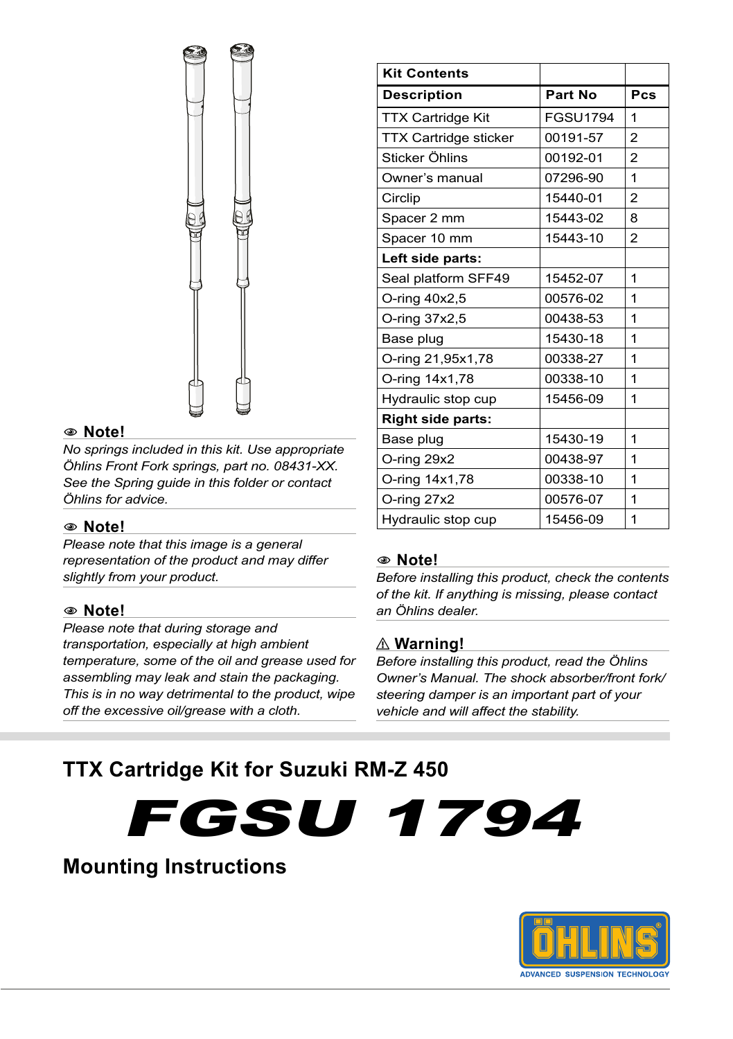

#### 1 **Note!**

*No springs included in this kit. Use appropriate Öhlins Front Fork springs, part no. 08431-XX. See the Spring guide in this folder or contact Öhlins for advice.*

#### 1 **Note!**

*Please note that this image is a general representation of the product and may differ slightly from your product.*

#### 1 **Note!**

*Please note that during storage and transportation, especially at high ambient temperature, some of the oil and grease used for assembling may leak and stain the packaging. This is in no way detrimental to the product, wipe off the excessive oil/grease with a cloth.*

| <b>Kit Contents</b>          |                 |                |
|------------------------------|-----------------|----------------|
| <b>Description</b>           | Part No         | Pcs            |
| <b>TTX Cartridge Kit</b>     | <b>FGSU1794</b> | 1              |
| <b>TTX Cartridge sticker</b> | 00191-57        | $\overline{2}$ |
| Sticker Öhlins               | 00192-01        | $\overline{2}$ |
| Owner's manual               | 07296-90        | 1              |
| Circlip                      | 15440-01        | $\overline{c}$ |
| Spacer 2 mm                  | 15443-02        | 8              |
| Spacer 10 mm                 | 15443-10        | $\overline{2}$ |
| Left side parts:             |                 |                |
| Seal platform SFF49          | 15452-07        | 1              |
| O-ring 40x2,5                | 00576-02        | 1              |
| O-ring 37x2,5                | 00438-53        | 1              |
| Base plug                    | 15430-18        | 1              |
| O-ring 21,95x1,78            | 00338-27        | 1              |
| O-ring 14x1,78               | 00338-10        | 1              |
| Hydraulic stop cup           | 15456-09        | 1              |
| <b>Right side parts:</b>     |                 |                |
| Base plug                    | 15430-19        | 1              |
| O-ring 29x2                  | 00438-97        | 1              |
| O-ring 14x1,78               | 00338-10        | 1              |
| O-ring 27x2                  | 00576-07        | 1              |
| Hydraulic stop cup           | 15456-09        | 1              |

#### 1 **Note!**

*Before installing this product, check the contents of the kit. If anything is missing, please contact an Öhlins dealer.*

#### ⚠ **Warning!**

*Before installing this product, read the Öhlins Owner's Manual. The shock absorber/front fork/ steering damper is an important part of your vehicle and will affect the stability.*

### **TTX Cartridge Kit for Suzuki RM-Z 450**

FGSU 1794

## **Mounting Instructions**

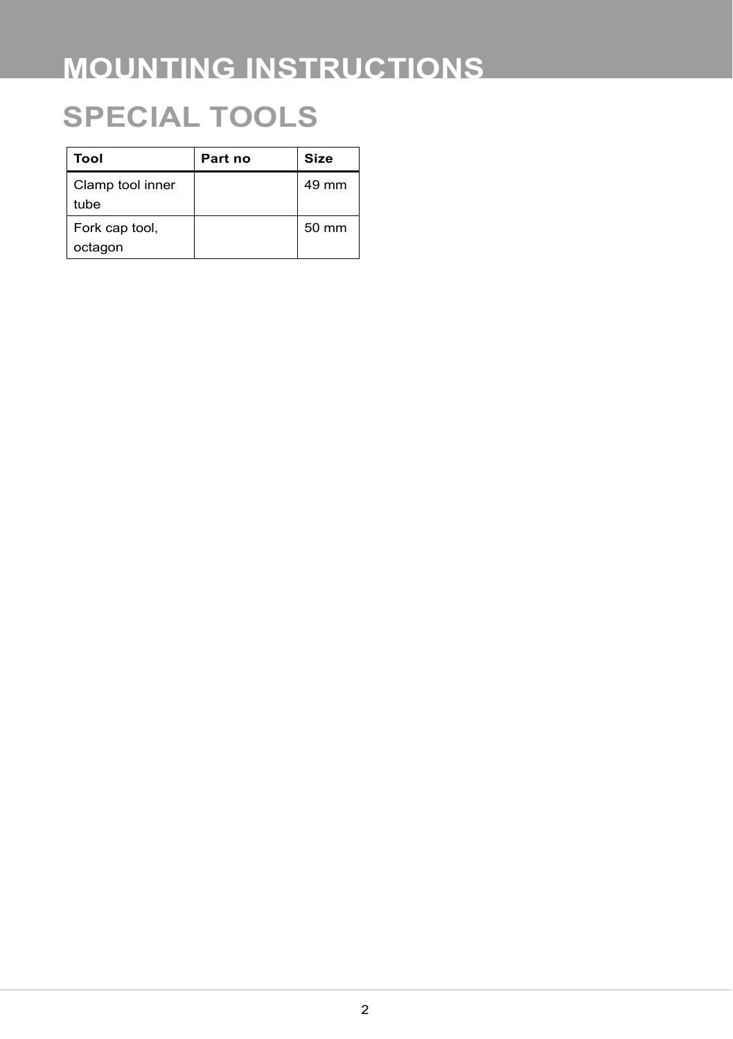## **SPECIAL TOOLS**

| Tool                      | Part no | Size  |
|---------------------------|---------|-------|
| Clamp tool inner<br>tube  |         | 49 mm |
| Fork cap tool,<br>octagon |         | 50 mm |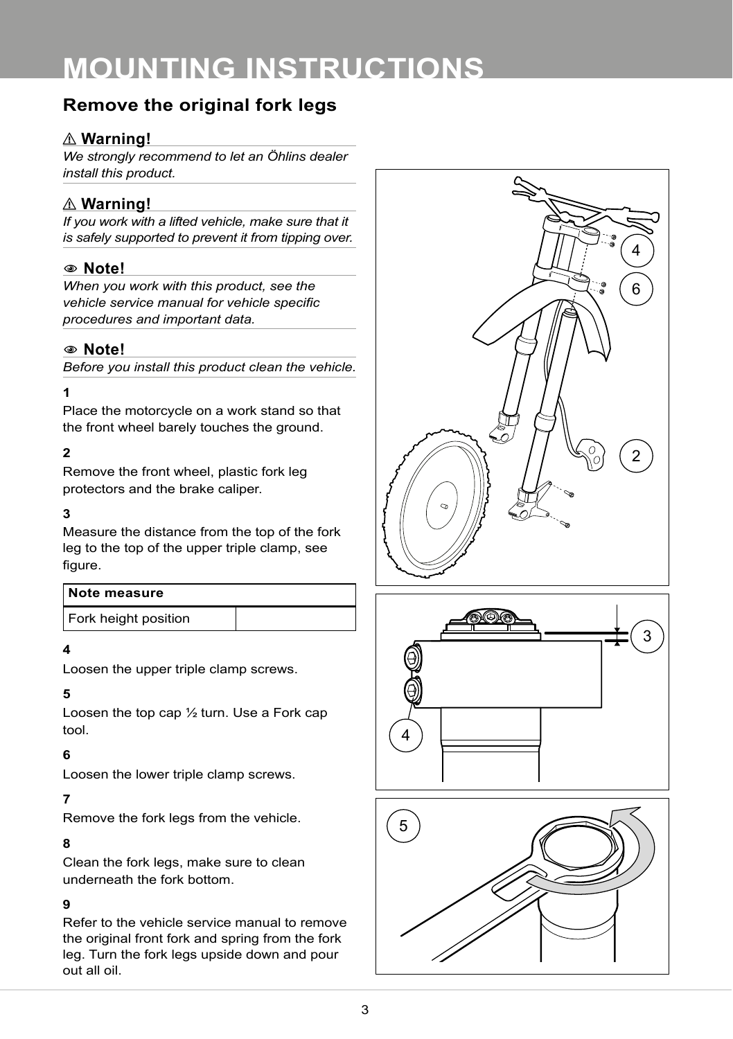### **Remove the original fork legs**

#### ⚠ **Warning!**

*We strongly recommend to let an Öhlins dealer install this product.*

#### ⚠ **Warning!**

*If you work with a lifted vehicle, make sure that it is safely supported to prevent it from tipping over.*

#### 1 **Note!**

*When you work with this product, see the vehicle service manual for vehicle specific procedures and important data.*

#### 1 **Note!**

*Before you install this product clean the vehicle.*

#### **1**

Place the motorcycle on a work stand so that the front wheel barely touches the ground.

#### **2**

Remove the front wheel, plastic fork leg protectors and the brake caliper.

#### **3**

Measure the distance from the top of the fork leg to the top of the upper triple clamp, see figure.

| Note measure         |  |
|----------------------|--|
| Fork height position |  |

#### **4**

Loosen the upper triple clamp screws.

#### **5**

Loosen the top cap ½ turn. Use a Fork cap tool.

#### **6**

Loosen the lower triple clamp screws.

#### **7**

Remove the fork legs from the vehicle.

#### **8**

Clean the fork legs, make sure to clean underneath the fork bottom.

#### **9**

Refer to the vehicle service manual to remove the original front fork and spring from the fork leg. Turn the fork legs upside down and pour out all oil.





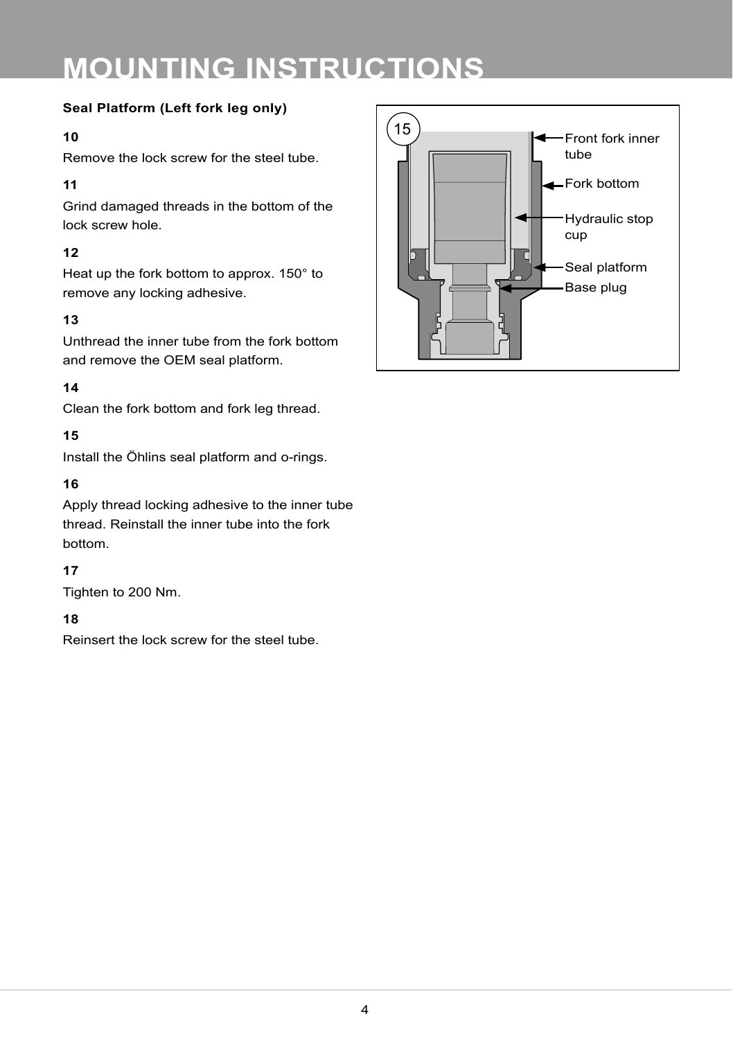#### **Seal Platform (Left fork leg only)**

#### **10**

Remove the lock screw for the steel tube.

#### **11**

Grind damaged threads in the bottom of the lock screw hole.

#### **12**

Heat up the fork bottom to approx. 150° to remove any locking adhesive.

#### **13**

Unthread the inner tube from the fork bottom and remove the OEM seal platform.

#### **14**

Clean the fork bottom and fork leg thread.

#### **15**

Install the Öhlins seal platform and o-rings.

#### **16**

Apply thread locking adhesive to the inner tube thread. Reinstall the inner tube into the fork bottom.

#### **17**

Tighten to 200 Nm.

#### **18**

Reinsert the lock screw for the steel tube.

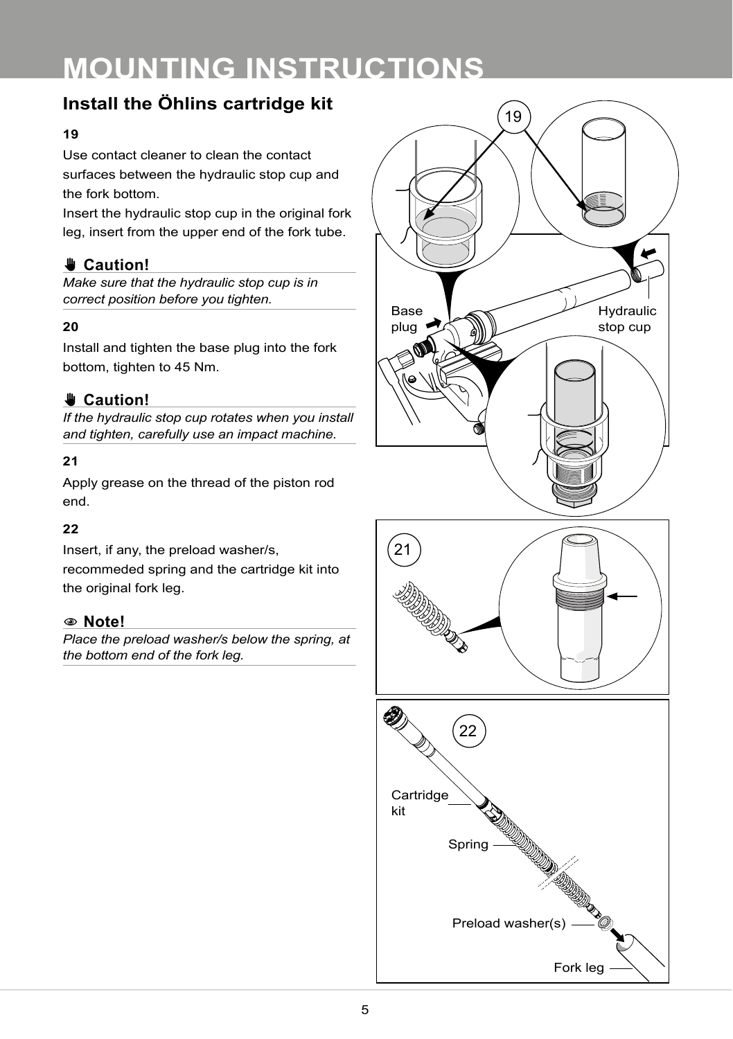## **Install the Öhlins cartridge kit**

#### **19**

Use contact cleaner to clean the contact surfaces between the hydraulic stop cup and the fork bottom.

Insert the hydraulic stop cup in the original fork leg, insert from the upper end of the fork tube.

#### ✋**✋ Caution!**

*Make sure that the hydraulic stop cup is in correct position before you tighten.*

#### **20**

Install and tighten the base plug into the fork bottom, tighten to 45 Nm.

### ✋**✋ Caution!**

*If the hydraulic stop cup rotates when you install and tighten, carefully use an impact machine.*

#### **21**

Apply grease on the thread of the piston rod end.

#### **22**

Insert, if any, the preload washer/s, recommeded spring and the cartridge kit into the original fork leg.

#### 1 **Note!**

*Place the preload washer/s below the spring, at the bottom end of the fork leg.*



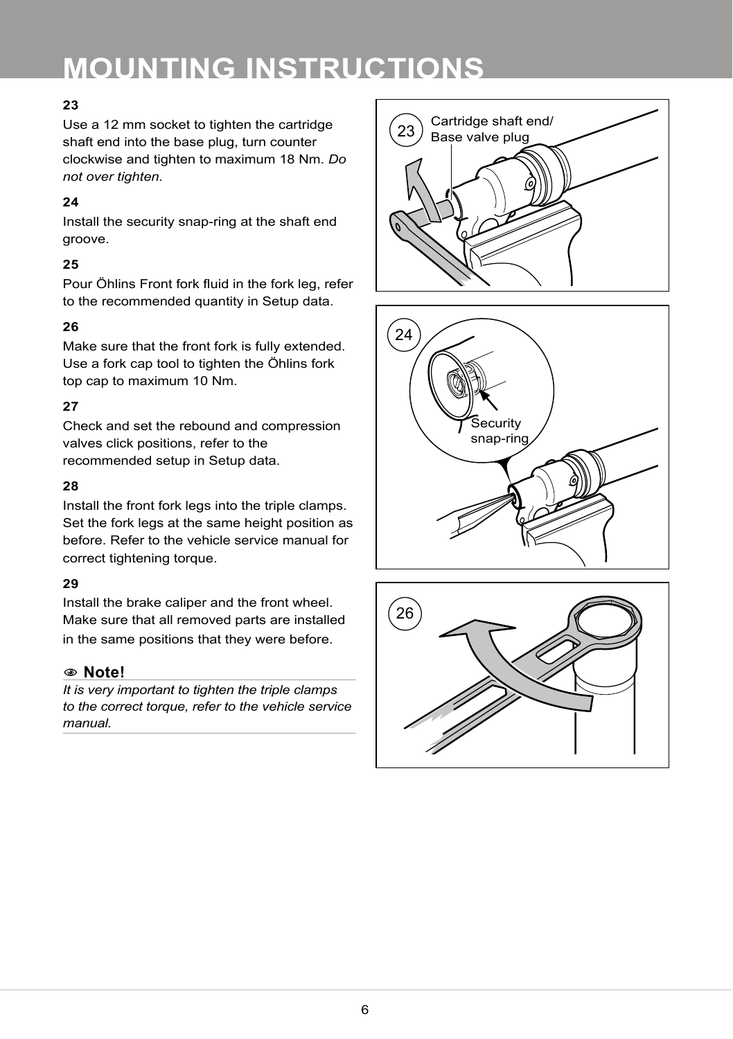#### **23**

Use a 12 mm socket to tighten the cartridge shaft end into the base plug, turn counter clockwise and tighten to maximum 18 Nm. *Do not over tighten.*

#### **24**

Install the security snap-ring at the shaft end groove.

#### **25**

Pour Öhlins Front fork fluid in the fork leg, refer to the recommended quantity in Setup data.

#### **26**

Make sure that the front fork is fully extended. Use a fork cap tool to tighten the Öhlins fork top cap to maximum 10 Nm.

#### **27**

Check and set the rebound and compression valves click positions, refer to the recommended setup in Setup data.

#### **28**

Install the front fork legs into the triple clamps. Set the fork legs at the same height position as before. Refer to the vehicle service manual for correct tightening torque.

#### **29**

Install the brake caliper and the front wheel. Make sure that all removed parts are installed in the same positions that they were before.

#### 1 **Note!**

*It is very important to tighten the triple clamps to the correct torque, refer to the vehicle service manual.*





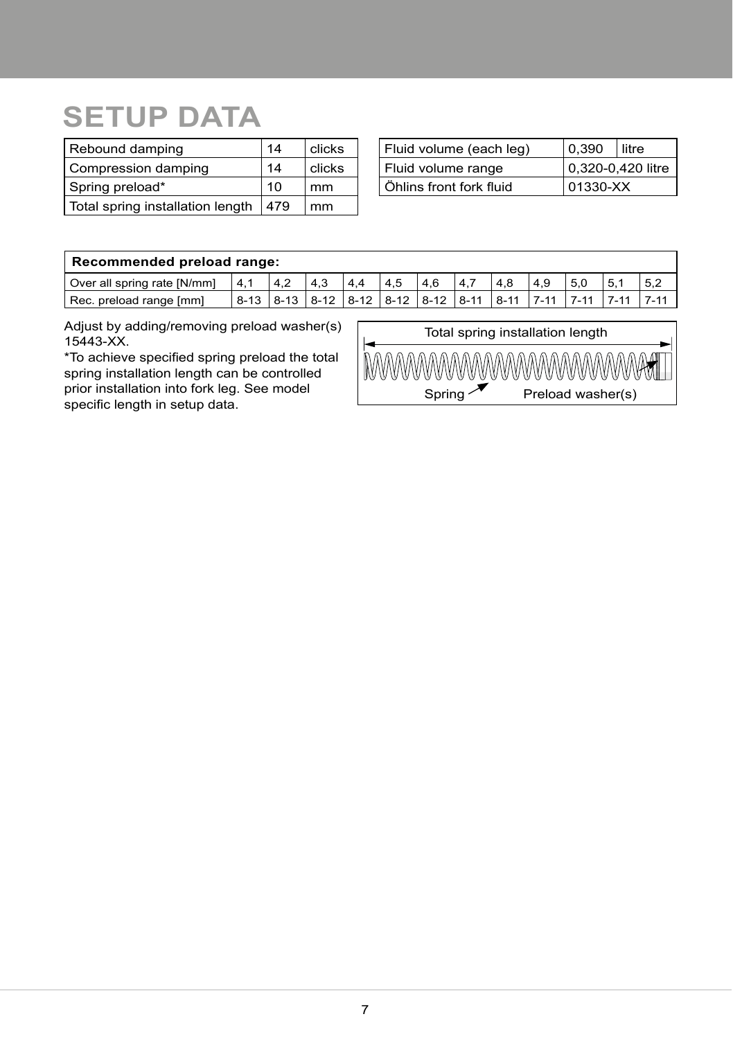# **SETUP DATA**

| Rebound damping                  | 14  | clicks |
|----------------------------------|-----|--------|
| Compression damping              | 14  | clicks |
| Spring preload*                  | 10  | mm     |
| Total spring installation length | 479 | mm     |

| Fluid volume (each leg) | 0.390             | litre |  |
|-------------------------|-------------------|-------|--|
| Fluid volume range      | 0,320-0,420 litre |       |  |
| Öhlins front fork fluid | 01330-XX          |       |  |

### **Recommended preload range:**

| Over all spring rate [N/mm] | 14.1 | 4.2 | 4.3                                                                            | 4.4 | 4.5 | 4.6 | 4.7 | 4.8 | 4.9 | 5.0 |      |  |
|-----------------------------|------|-----|--------------------------------------------------------------------------------|-----|-----|-----|-----|-----|-----|-----|------|--|
| Rec. preload range [mm]     |      |     | <u>  8-13   8-13   8-12   8-12   8-12   8-12   8-11   8-11   7-11   7-11  </u> |     |     |     |     |     |     |     | 7.11 |  |

Adjust by adding/removing preload washer(s) 15443-XX.

\*To achieve specified spring preload the total spring installation length can be controlled prior installation into fork leg. See model specific length in setup data.

| Total spring installation length |                   |  |  |  |
|----------------------------------|-------------------|--|--|--|
| MWWWWWWWWWWWWWWA                 |                   |  |  |  |
| Spring                           | Preload washer(s) |  |  |  |